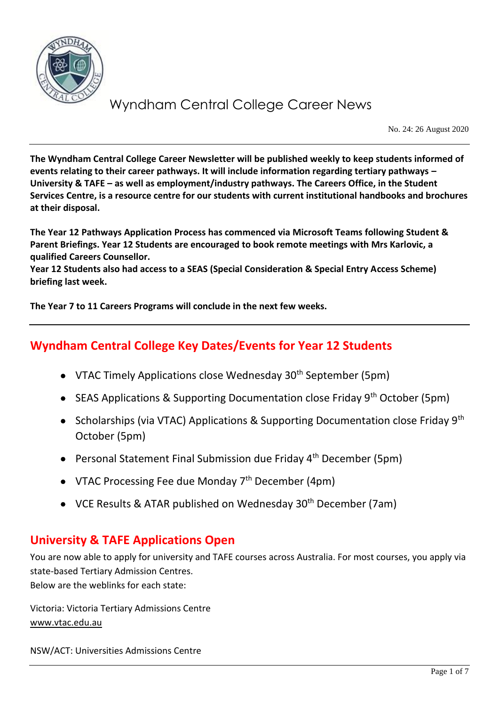

No. 24: 26 August 2020

**The Wyndham Central College Career Newsletter will be published weekly to keep students informed of events relating to their career pathways. It will include information regarding tertiary pathways – University & TAFE – as well as employment/industry pathways. The Careers Office, in the Student Services Centre, is a resource centre for our students with current institutional handbooks and brochures at their disposal.**

**The Year 12 Pathways Application Process has commenced via Microsoft Teams following Student & Parent Briefings. Year 12 Students are encouraged to book remote meetings with Mrs Karlovic, a qualified Careers Counsellor.**

**Year 12 Students also had access to a SEAS (Special Consideration & Special Entry Access Scheme) briefing last week.** 

**The Year 7 to 11 Careers Programs will conclude in the next few weeks.**

## **Wyndham Central College Key Dates/Events for Year 12 Students**

- VTAC Timely Applications close Wednesday  $30<sup>th</sup>$  September (5pm)
- SEAS Applications & Supporting Documentation close Friday  $9<sup>th</sup>$  October (5pm)
- Scholarships (via VTAC) Applications & Supporting Documentation close Friday 9<sup>th</sup> October (5pm)
- Personal Statement Final Submission due Friday 4<sup>th</sup> December (5pm)
- VTAC Processing Fee due Monday  $7<sup>th</sup>$  December (4pm)
- VCE Results & ATAR published on Wednesday 30<sup>th</sup> December (7am)

### **University & TAFE Applications Open**

You are now able to apply for university and TAFE courses across Australia. For most courses, you apply via state-based Tertiary Admission Centres. Below are the weblinks for each state:

Victoria: Victoria Tertiary Admissions Centre [www.vtac.edu.au](http://www.vtac.edu.au/)

NSW/ACT: Universities Admissions Centre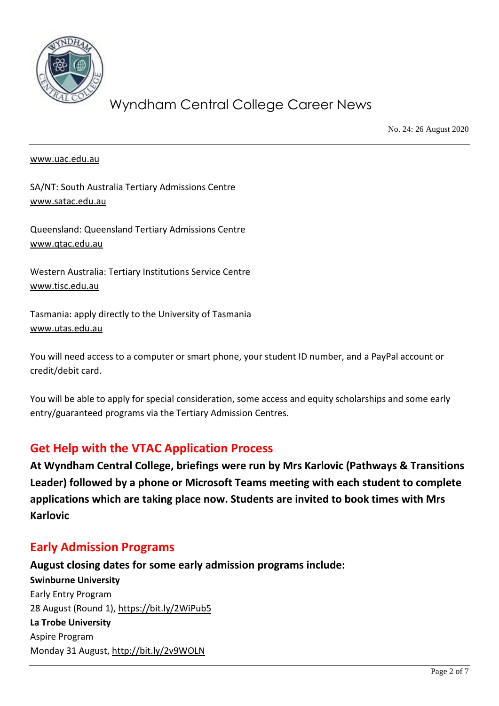

No. 24: 26 August 2020

#### [www.uac.edu.au](http://www.uac.edu.au/)

SA/NT: South Australia Tertiary Admissions Centre [www.satac.edu.au](http://www.satac.edu.au/)

Queensland: Queensland Tertiary Admissions Centre [www.qtac.edu.au](http://www.qtac.edu.au/)

Western Australia: Tertiary Institutions Service Centre [www.tisc.edu.au](http://www.tisc.edu.au/)

Tasmania: apply directly to the University of Tasmania [www.utas.edu.au](http://www.utas.edu.au/)

You will need access to a computer or smart phone, your student ID number, and a PayPal account or credit/debit card.

You will be able to apply for special consideration, some access and equity scholarships and some early entry/guaranteed programs via the Tertiary Admission Centres.

### **Get Help with the VTAC Application Process**

**At Wyndham Central College, briefings were run by Mrs Karlovic (Pathways & Transitions Leader) followed by a phone or Microsoft Teams meeting with each student to complete applications which are taking place now. Students are invited to book times with Mrs Karlovic**

### **Early Admission Programs**

**August closing dates for some early admission programs include: Swinburne University** Early Entry Program 28 August (Round 1),<https://bit.ly/2WiPub5> **La Trobe University** Aspire Program Monday 31 August,<http://bit.ly/2v9WOLN>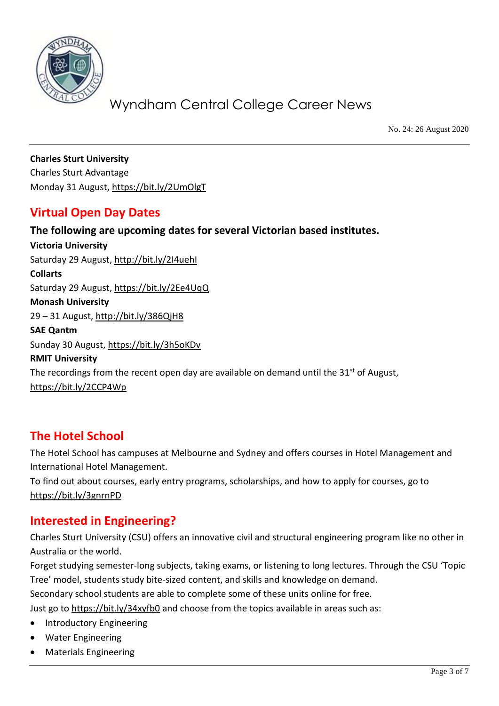

No. 24: 26 August 2020

**Charles Sturt University** Charles Sturt Advantage Monday 31 August,<https://bit.ly/2UmOlgT>

### **Virtual Open Day Dates**

**The following are upcoming dates for several Victorian based institutes. Victoria University** Saturday 29 August, http://bit.ly/2I4uehl **Collarts** Saturday 29 August,<https://bit.ly/2Ee4UqQ> **Monash University** 29 – 31 August,<http://bit.ly/386QjH8> **SAE Qantm** Sunday 30 August,<https://bit.ly/3h5oKDv> **RMIT University** The recordings from the recent open day are available on demand until the  $31<sup>st</sup>$  of August, <https://bit.ly/2CCP4Wp>

### **The Hotel School**

The Hotel School has campuses at Melbourne and Sydney and offers courses in Hotel Management and International Hotel Management.

To find out about courses, early entry programs, scholarships, and how to apply for courses, go to <https://bit.ly/3gnrnPD>

### **Interested in Engineering?**

Charles Sturt University (CSU) offers an innovative civil and structural engineering program like no other in Australia or the world.

Forget studying semester-long subjects, taking exams, or listening to long lectures. Through the CSU 'Topic Tree' model, students study bite-sized content, and skills and knowledge on demand.

Secondary school students are able to complete some of these units online for free.

Just go to<https://bit.ly/34xyfb0> and choose from the topics available in areas such as:

- Introductory Engineering
- Water Engineering
- Materials Engineering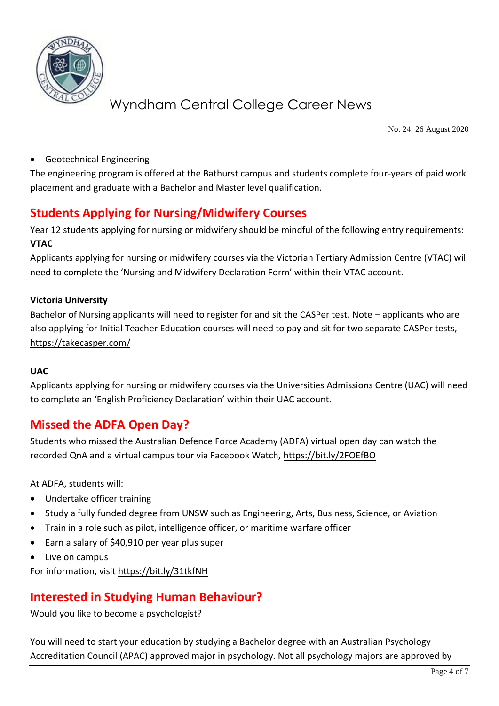

No. 24: 26 August 2020

#### • Geotechnical Engineering

The engineering program is offered at the Bathurst campus and students complete four-years of paid work placement and graduate with a Bachelor and Master level qualification.

## **Students Applying for Nursing/Midwifery Courses**

Year 12 students applying for nursing or midwifery should be mindful of the following entry requirements: **VTAC**

Applicants applying for nursing or midwifery courses via the Victorian Tertiary Admission Centre (VTAC) will need to complete the 'Nursing and Midwifery Declaration Form' within their VTAC account.

#### **Victoria University**

Bachelor of Nursing applicants will need to register for and sit the CASPer test. Note – applicants who are also applying for Initial Teacher Education courses will need to pay and sit for two separate CASPer tests, <https://takecasper.com/>

#### **UAC**

Applicants applying for nursing or midwifery courses via the Universities Admissions Centre (UAC) will need to complete an 'English Proficiency Declaration' within their UAC account.

### **Missed the ADFA Open Day?**

Students who missed the Australian Defence Force Academy (ADFA) virtual open day can watch the recorded QnA and a virtual campus tour via Facebook Watch,<https://bit.ly/2FOEfBO>

At ADFA, students will:

- Undertake officer training
- Study a fully funded degree from UNSW such as Engineering, Arts, Business, Science, or Aviation
- Train in a role such as pilot, intelligence officer, or maritime warfare officer
- Earn a salary of \$40,910 per year plus super
- Live on campus

For information, visit<https://bit.ly/31tkfNH>

### **Interested in Studying Human Behaviour?**

Would you like to become a psychologist?

You will need to start your education by studying a Bachelor degree with an Australian Psychology Accreditation Council (APAC) approved major in psychology. Not all psychology majors are approved by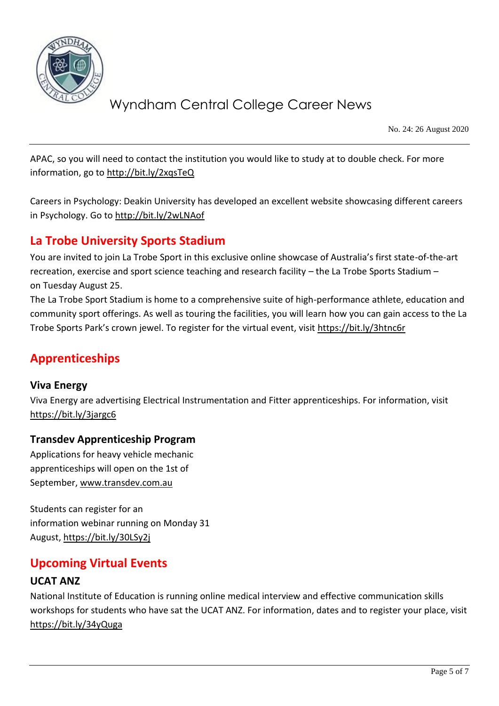

No. 24: 26 August 2020

APAC, so you will need to contact the institution you would like to study at to double check. For more information, go to<http://bit.ly/2xqsTeQ>

Careers in Psychology: Deakin University has developed an excellent website showcasing different careers in Psychology. Go to<http://bit.ly/2wLNAof>

## **La Trobe University Sports Stadium**

You are invited to join La Trobe Sport in this exclusive online showcase of Australia's first state-of-the-art recreation, exercise and sport science teaching and research facility – the La Trobe Sports Stadium – on Tuesday August 25.

The La Trobe Sport Stadium is home to a comprehensive suite of high-performance athlete, education and community sport offerings. As well as touring the facilities, you will learn how you can gain access to the La Trobe Sports Park's crown jewel. To register for the virtual event, visi[t https://bit.ly/3htnc6r](https://bit.ly/3htnc6r)

## **Apprenticeships**

#### **Viva Energy**

Viva Energy are advertising Electrical Instrumentation and Fitter apprenticeships. For information, visit <https://bit.ly/3jargc6>

#### **Transdev Apprenticeship Program**

Applications for heavy vehicle mechanic apprenticeships will open on the 1st of September, [www.transdev.com.au](http://www.transdev.com.au/)

Students can register for an information webinar running on Monday 31 August[, https://bit.ly/30LSy2j](https://bit.ly/30LSy2j)

### **Upcoming Virtual Events**

### **UCAT ANZ**

National Institute of Education is running online medical interview and effective communication skills workshops for students who have sat the UCAT ANZ. For information, dates and to register your place, visit <https://bit.ly/34yQuga>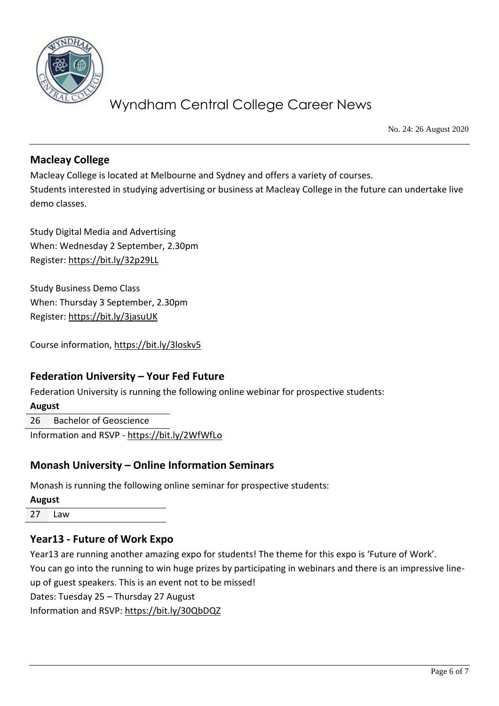

No. 24: 26 August 2020

#### **Macleay College**

Macleay College is located at Melbourne and Sydney and offers a variety of courses. Students interested in studying advertising or business at Macleay College in the future can undertake live demo classes.

Study Digital Media and Advertising When: Wednesday 2 September, 2.30pm Register[: https://bit.ly/32p29LL](https://bit.ly/32p29LL) 

Study Business Demo Class When: Thursday 3 September, 2.30pm Register[: https://bit.ly/3jasuUK](https://bit.ly/3jasuUK)

Course information,<https://bit.ly/3loskv5>

#### **Federation University – Your Fed Future**

Federation University is running the following online webinar for prospective students:

**August**

26 Bachelor of Geoscience

Information and RSVP - <https://bit.ly/2WfWfLo>

#### **Monash University – Online Information Seminars**

Monash is running the following online seminar for prospective students:

**August** 27 Law

#### **Year13 - Future of Work Expo**

Year13 are running another amazing expo for students! The theme for this expo is 'Future of Work'. You can go into the running to win huge prizes by participating in webinars and there is an impressive lineup of guest speakers. This is an event not to be missed! Dates: Tuesday 25 – Thursday 27 August Information and RSVP:<https://bit.ly/30QbDQZ>